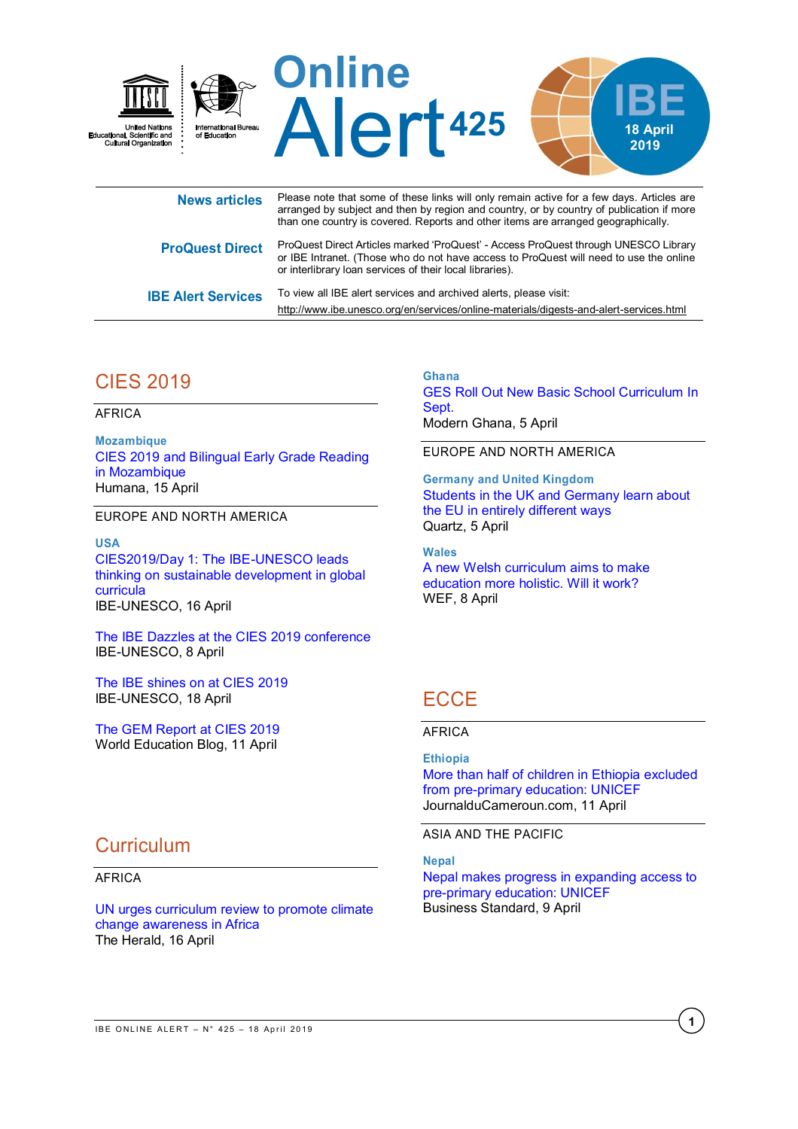

| <b>News articles</b>      | <b>T IGAGE TIGGE AND GOTTLE OF A TGGC INTIG WILL ONLY TUIT AGAIXED TOF A TURY CAYS.</b> A MAGICO ATC<br>arranged by subject and then by region and country, or by country of publication if more<br>than one country is covered. Reports and other items are arranged geographically. |
|---------------------------|---------------------------------------------------------------------------------------------------------------------------------------------------------------------------------------------------------------------------------------------------------------------------------------|
| <b>ProQuest Direct</b>    | ProQuest Direct Articles marked 'ProQuest' - Access ProQuest through UNESCO Library<br>or IBE Intranet. (Those who do not have access to ProQuest will need to use the online<br>or interlibrary loan services of their local libraries).                                             |
| <b>IBE Alert Services</b> | To view all IBE alert services and archived alerts, please visit:<br>http://www.ibe.unesco.org/en/services/online-materials/digests-and-alert-services.html                                                                                                                           |

# CIES 2019

AFRICA

**Mozambique** [CIES 2019 and Bilingual Early Grade Reading](http://www.humana.org/blog-2/343-cies-2019-and-bilingual-early-grade-reading-in-mozambique)  [in Mozambique](http://www.humana.org/blog-2/343-cies-2019-and-bilingual-early-grade-reading-in-mozambique) Humana, 15 April

EUROPE AND NORTH AMERICA

**USA** [CIES2019/Day 1: The IBE-UNESCO leads](http://www.ibe.unesco.org/en/news/cies2019day-1-%C2%A0ibe-unesco-leads-thinking-sustainable-development-global-curricula)  [thinking on sustainable development in global](http://www.ibe.unesco.org/en/news/cies2019day-1-%C2%A0ibe-unesco-leads-thinking-sustainable-development-global-curricula)  [curricula](http://www.ibe.unesco.org/en/news/cies2019day-1-%C2%A0ibe-unesco-leads-thinking-sustainable-development-global-curricula) IBE-UNESCO, 16 April

[The IBE Dazzles at the CIES 2019 conference](http://www.ibe.unesco.org/en/news/ibe-dazzles-cies-2019-conference) IBE-UNESCO, 8 April

[The IBE shines on at CIES 2019](http://www.ibe.unesco.org/en/news/ibe-shines-cies-2019) IBE-UNESCO, 18 April

[The GEM Report at CIES 2019](https://gemreportunesco.wordpress.com/2019/04/11/the-gem-report-at-cies-2019/) World Education Blog, 11 April

# **Curriculum**

### AFRICA

[UN urges curriculum review to promote climate](https://www.herald.co.zw/un-urges-curriculum-review-to-promote-climate-change-awareness-in-africa/)  [change awareness in Africa](https://www.herald.co.zw/un-urges-curriculum-review-to-promote-climate-change-awareness-in-africa/) The Herald, 16 April

**Ghana** [GES Roll Out New Basic School Curriculum In](https://www.modernghana.com/news/925248/ges-roll-out-new-basic-school-curriculum-in-sept.html)  [Sept.](https://www.modernghana.com/news/925248/ges-roll-out-new-basic-school-curriculum-in-sept.html) Modern Ghana, 5 April

### EUROPE AND NORTH AMERICA

**Germany and United Kingdom** [Students in the UK and Germany learn about](https://qz.com/1587379/what-students-in-the-uk-and-germany-learn-about-the-eu-and-brexit/)  [the EU in entirely different ways](https://qz.com/1587379/what-students-in-the-uk-and-germany-learn-about-the-eu-and-brexit/) Quartz, 5 April

**Wales** [A new Welsh curriculum aims to make](https://www.weforum.org/agenda/2019/04/a-new-welsh-curriculum-aims-to-make-education-more-holistic-will-it-work/)  [education more holistic. Will it work?](https://www.weforum.org/agenda/2019/04/a-new-welsh-curriculum-aims-to-make-education-more-holistic-will-it-work/) WEF, 8 April

# **ECCE**

### AFRICA

### **Ethiopia**

[More than half of children in Ethiopia excluded](https://www.journalducameroun.com/en/more-than-half-of-children-in-ethiopia-excluded-from-pre-primary-education-unicef/)  [from pre-primary education: UNICEF](https://www.journalducameroun.com/en/more-than-half-of-children-in-ethiopia-excluded-from-pre-primary-education-unicef/) JournalduCameroun.com, 11 April

ASIA AND THE PACIFIC

### **Nepal**

[Nepal makes progress in expanding access to](https://www.business-standard.com/article/pti-stories/nepal-makes-progress-in-expanding-access-to-pre-primary-education-unicef-119040901032_1.html)  [pre-primary education: UNICEF](https://www.business-standard.com/article/pti-stories/nepal-makes-progress-in-expanding-access-to-pre-primary-education-unicef-119040901032_1.html) Business Standard, 9 April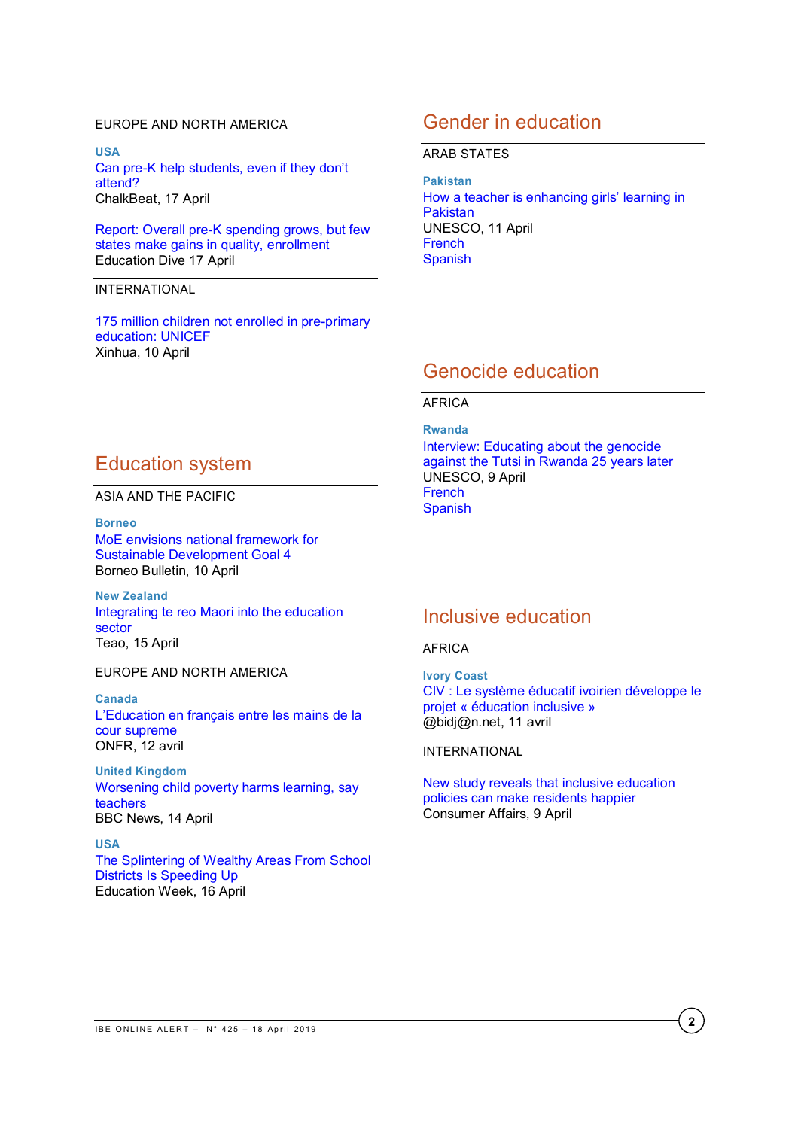### EUROPE AND NORTH AMERICA

**USA** Can pre-[K help students, even if they don't](https://chalkbeat.org/posts/us/2019/04/17/preschool-research-peers-benefits-south-carolina/)  [attend?](https://chalkbeat.org/posts/us/2019/04/17/preschool-research-peers-benefits-south-carolina/) ChalkBeat, 17 April

[Report: Overall pre-K spending grows, but few](https://www.educationdive.com/news/report-overall-pre-k-spending-grows-but-few-states-make-gains-in-quality/552803/)  [states make gains in quality, enrollment](https://www.educationdive.com/news/report-overall-pre-k-spending-grows-but-few-states-make-gains-in-quality/552803/) Education Dive 17 April

#### INTERNATIONAL

[175 million children not enrolled in pre-primary](http://www.xinhuanet.com/english/2019-04/10/c_137963601.htm)  [education: UNICEF](http://www.xinhuanet.com/english/2019-04/10/c_137963601.htm) Xinhua, 10 April

# Education system

ASIA AND THE PACIFIC

**Borneo** [MoE envisions national framework for](https://borneobulletin.com.bn/moe-envisions-national-framework-for-sustainable-development-goal-4/)  [Sustainable Development Goal 4](https://borneobulletin.com.bn/moe-envisions-national-framework-for-sustainable-development-goal-4/) Borneo Bulletin, 10 April

**New Zealand** [Integrating te reo Maori into the education](https://www.maoritelevision.com/news/education/integrating-te-reo-maori-education-sector)  [sector](https://www.maoritelevision.com/news/education/integrating-te-reo-maori-education-sector) Teao, 15 April

### EUROPE AND NORTH AMERICA

**Canada** [L'Education](https://onfr.tfo.org/leducation-en-francais-entre-les-mains-de-la-cour-supreme/) en français entre les mains de la cour supreme ONFR, 12 avril

**United Kingdom** [Worsening child poverty harms learning, say](https://www.bbc.com/news/education-47902642?intlink_from_url=&link_location=live-reporting-story)  [teachers](https://www.bbc.com/news/education-47902642?intlink_from_url=&link_location=live-reporting-story) BBC News, 14 April

### **USA**

[The Splintering of Wealthy Areas From School](https://blogs.edweek.org/edweek/inside-school-research/2019/04/school_district_secession.html)  [Districts Is Speeding Up](https://blogs.edweek.org/edweek/inside-school-research/2019/04/school_district_secession.html) Education Week, 16 April

## Gender in education

#### ARAB STATES

**Pakistan**  [How a teacher is enhancing girls' learning in](https://en.unesco.org/news/how-teacher-enhancing-girls-learning-pakistan)  [Pakistan](https://en.unesco.org/news/how-teacher-enhancing-girls-learning-pakistan) UNESCO, 11 April **[French](https://fr.unesco.org/news/comment-enseignante-ameliore-lapprentissage-filles-au-pakistan) [Spanish](https://es.unesco.org/news/como-docente-logra-mejorar-aprendizaje-ninas-pakistan)** 

## Genocide education

### AFRICA

**Rwanda** [Interview:](https://en.unesco.org/news/interview-educating-about-genocide-against-tutsi-rwanda-25-years-later) Educating about the genocide against the Tutsi in Rwanda 25 years later UNESCO, 9 April **[French](https://fr.unesco.org/news/entretien-25-ans-apres-lenseignement-du-genocide-tutsi-au-rwanda) [Spanish](https://es.unesco.org/news/entrevista-ensenanza-cuestiones-relativas-al-genocidio-tutsi-rwanda-25-anos-despues)** 

## Inclusive education

#### AFRICA

**Ivory Coast**

[CIV : Le système éducatif ivoirien développe le](https://news.abidjan.net/h/655628.html)  [projet « éducation inclusive »](https://news.abidjan.net/h/655628.html) @bidj@n.net, 11 avril

#### INTERNATIONAL

[New study reveals that inclusive education](https://www.consumeraffairs.com/news/new-study-reveals-that-inclusive-education-policies-can-make-residents-happier-040919.html)  [policies can make residents happier](https://www.consumeraffairs.com/news/new-study-reveals-that-inclusive-education-policies-can-make-residents-happier-040919.html) Consumer Affairs, 9 April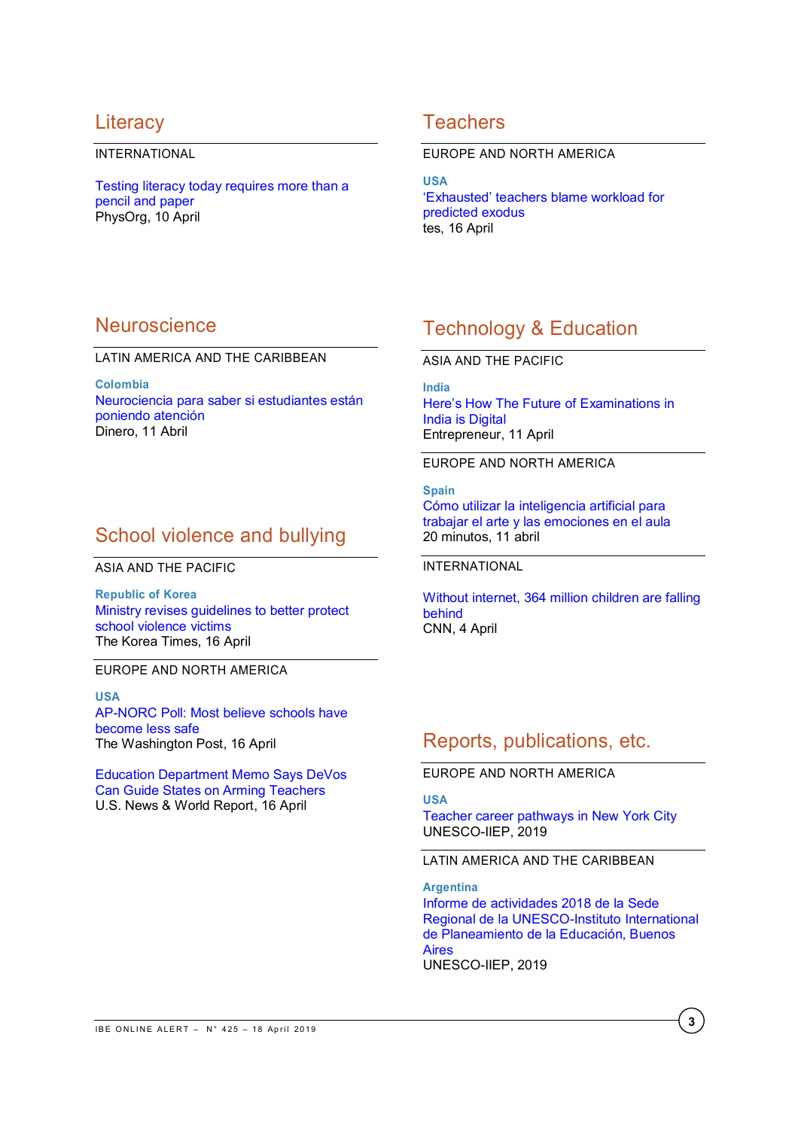# **Literacy**

### INTERNATIONAL

[Testing literacy today requires more than a](https://phys.org/news/2019-04-literacy-today-requires-pencil-paper.html)  [pencil and paper](https://phys.org/news/2019-04-literacy-today-requires-pencil-paper.html) PhysOrg, 10 April

# **Teachers**

#### EUROPE AND NORTH AMERICA

**USA** ['Exhausted' teachers blame workload for](https://www.tes.com/news/exhausted-teachers-blame-workload-predicted-exodus)  [predicted exodus](https://www.tes.com/news/exhausted-teachers-blame-workload-predicted-exodus) tes, 16 April

# **Neuroscience**

### LATIN AMERICA AND THE CARIBBEAN

**Colombia** [Neurociencia para saber si estudiantes están](https://www.dinero.com/pais/articulo/con-neurociencia-se-puede-medir-la-atencion/269553)  [poniendo atención](https://www.dinero.com/pais/articulo/con-neurociencia-se-puede-medir-la-atencion/269553) Dinero, 11 Abril

# School violence and bullying

ASIA AND THE PACIFIC

**Republic of Korea** [Ministry revises guidelines to better protect](http://www.koreatimes.co.kr/www/nation/2019/04/181_267282.html)  [school violence victims](http://www.koreatimes.co.kr/www/nation/2019/04/181_267282.html) The Korea Times, 16 April

EUROPE AND NORTH AMERICA

**USA** [AP-NORC](https://www.washingtonpost.com/politics/courts_law/ap-norc-poll-low-confidence-in-schools-to-respond-to-gunman/2019/04/16/53edb3cc-6007-11e9-bf24-db4b9fb62aa2_story.html?utm_term=.49aafcc31a13) Poll: Most believe schools have become less safe The Washington Post, 16 April

[Education Department Memo Says DeVos](https://www.usnews.com/news/education-news/articles/2019-04-10/internal-memo-says-betsy-devos-can-guide-states-on-using-federal-funds-to-arm-teachers)  [Can Guide States on Arming Teachers](https://www.usnews.com/news/education-news/articles/2019-04-10/internal-memo-says-betsy-devos-can-guide-states-on-using-federal-funds-to-arm-teachers) U.S. News & World Report, 16 April

# Technology & Education

ASIA AND THE PACIFIC

**India**

[Here's How The Future of Examinations in](https://www.entrepreneur.com/article/332084)  [India is Digital](https://www.entrepreneur.com/article/332084) Entrepreneur, 11 April

EUROPE AND NORTH AMERICA

**Spain** [Cómo utilizar la inteligencia artificial para](https://yosoytuprofe.20minutos.es/2019/04/11/como-utilizar-la-inteligencia-artificial-para-trabajar-el-arte-y-las-emociones-en-el-aula/)  [trabajar el arte y las emociones en el aula](https://yosoytuprofe.20minutos.es/2019/04/11/como-utilizar-la-inteligencia-artificial-para-trabajar-el-arte-y-las-emociones-en-el-aula/) 20 minutos, 11 abril

INTERNATIONAL

[Without internet, 364 million children are falling](https://edition.cnn.com/2019/04/04/perspectives/unicef-schools-internet-access/index.html)  [behind](https://edition.cnn.com/2019/04/04/perspectives/unicef-schools-internet-access/index.html) CNN, 4 April

# Reports, publications, etc.

EUROPE AND NORTH AMERICA

**USA**

[Teacher](https://unesdoc.unesco.org/ark:/48223/pf0000367666) career pathways in New York City UNESCO-IIEP, 2019

LATIN AMERICA AND THE CARIBBEAN

**Argentina** [Informe de actividades 2018 de la Sede](https://unesdoc.unesco.org/ark:/48223/pf0000367540_spa)  [Regional de la UNESCO-Instituto International](https://unesdoc.unesco.org/ark:/48223/pf0000367540_spa)  [de Planeamiento de la Educación, Buenos](https://unesdoc.unesco.org/ark:/48223/pf0000367540_spa)  [Aires](https://unesdoc.unesco.org/ark:/48223/pf0000367540_spa) UNESCO-IIEP, 2019